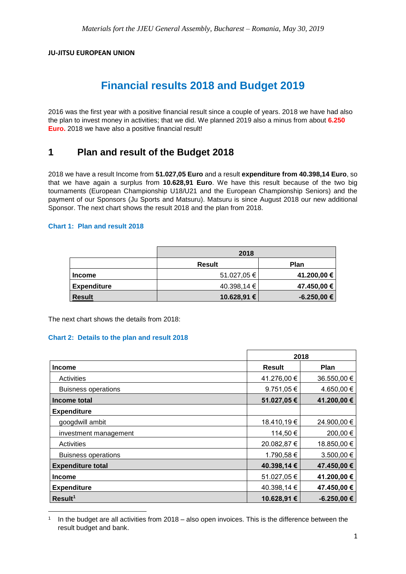#### **JU-JITSU EUROPEAN UNION**

# **Financial results 2018 and Budget 2019**

2016 was the first year with a positive financial result since a couple of years. 2018 we have had also the plan to invest money in activities; that we did. We planned 2019 also a minus from about **6.250 Euro.** 2018 we have also a positive financial result!

# **1 Plan and result of the Budget 2018**

2018 we have a result Income from **51.027,05 Euro** and a result **expenditure from 40.398,14 Euro**, so that we have again a surplus from **10.628,91 Euro**. We have this result because of the two big tournaments (European Championship U18/U21 and the European Championship Seniors) and the payment of our Sponsors (Ju Sports and Matsuru). Matsuru is since August 2018 our new additional Sponsor. The next chart shows the result 2018 and the plan from 2018.

#### **Chart 1: Plan and result 2018**

|                    | 2018        |              |
|--------------------|-------------|--------------|
|                    | Result      | Plan         |
| <b>Income</b>      | 51.027,05 € | 41.200,00 €  |
| <b>Expenditure</b> | 40.398,14 € | 47.450,00 €  |
| <b>Result</b>      | 10.628,91 € | $-6.250,00€$ |

The next chart shows the details from 2018:

**.** 

#### **Chart 2: Details to the plan and result 2018**

|                            | 2018          |                 |
|----------------------------|---------------|-----------------|
| Income                     | <b>Result</b> | <b>Plan</b>     |
| Activities                 | 41.276,00 €   | 36.550,00 €     |
| <b>Buisness operations</b> | 9.751,05 €    | 4.650,00 €      |
| Income total               | 51.027,05€    | 41.200,00 €     |
| <b>Expenditure</b>         |               |                 |
| googdwill ambit            | 18.410,19€    | 24.900,00 €     |
| investment management      | 114,50 €      | 200,00 €        |
| Activities                 | 20.082,87 €   | 18.850,00 €     |
| <b>Buisness operations</b> | 1.790,58 €    | 3.500,00 €      |
| <b>Expenditure total</b>   | 40.398,14 €   | 47.450,00 €     |
| <b>Income</b>              | 51.027,05€    | 41.200,00 €     |
| <b>Expenditure</b>         | 40.398,14 €   | 47.450,00 €     |
| Result <sup>1</sup>        | 10.628,91 €   | $-6.250,00 \in$ |

<sup>1</sup> In the budget are all activities from 2018 – also open invoices. This is the difference between the result budget and bank.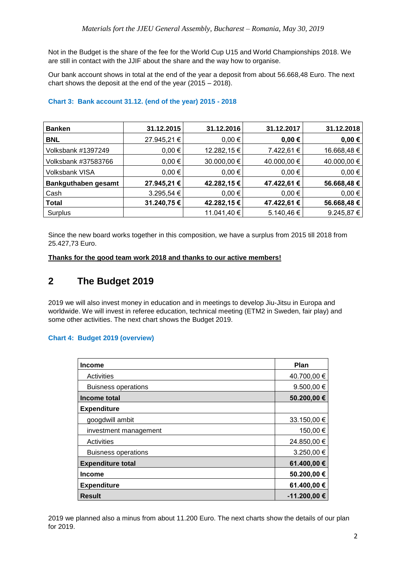Not in the Budget is the share of the fee for the World Cup U15 and World Championships 2018. We are still in contact with the JJIF about the share and the way how to organise.

Our bank account shows in total at the end of the year a deposit from about 56.668,48 Euro. The next chart shows the deposit at the end of the year (2015 – 2018).

| <b>Banken</b>         | 31.12.2015  | 31.12.2016  | 31.12.2017  | 31.12.2018  |
|-----------------------|-------------|-------------|-------------|-------------|
| <b>BNL</b>            | 27.945,21 € | $0,00 \in$  | $0,00 \in$  | $0,00 \in$  |
| Volksbank #1397249    | $0,00 \in$  | 12.282,15€  | 7.422,61 €  | 16.668,48 € |
| Volksbank #37583766   | $0,00 \in$  | 30.000,00 € | 40.000,00 € | 40.000,00 € |
| <b>Volksbank VISA</b> | $0,00 \in$  | $0,00 \in$  | $0,00 \in$  | $0,00 \in$  |
| Bankguthaben gesamt   | 27.945,21 € | 42.282,15€  | 47.422,61 € | 56.668,48€  |
| Cash                  | 3.295,54 €  | $0,00 \in$  | $0,00 \in$  | $0,00 \in$  |
| <b>Total</b>          | 31.240,75€  | 42.282,15€  | 47.422,61 € | 56.668,48€  |
| Surplus               |             | 11.041,40 € | 5.140,46 €  | 9.245,87 €  |

#### **Chart 3: Bank account 31.12. (end of the year) 2015 - 2018**

Since the new board works together in this composition, we have a surplus from 2015 till 2018 from 25.427,73 Euro.

#### **Thanks for the good team work 2018 and thanks to our active members!**

# **2 The Budget 2019**

2019 we will also invest money in education and in meetings to develop Jiu-Jitsu in Europa and worldwide. We will invest in referee education, technical meeting (ETM2 in Sweden, fair play) and some other activities. The next chart shows the Budget 2019.

#### **Chart 4: Budget 2019 (overview)**

| <b>Income</b>              | Plan             |
|----------------------------|------------------|
| Activities                 | 40.700,00 €      |
| <b>Buisness operations</b> | 9.500,00 $\in$   |
| Income total               | 50.200,00 €      |
| <b>Expenditure</b>         |                  |
| googdwill ambit            | 33.150,00 €      |
| investment management      | 150,00 €         |
| Activities                 | 24.850,00 €      |
| <b>Buisness operations</b> | 3.250,00 €       |
| <b>Expenditure total</b>   | 61.400,00 €      |
| <b>Income</b>              | 50.200,00 €      |
| <b>Expenditure</b>         | 61.400,00 €      |
| <b>Result</b>              | $-11.200,00 \in$ |

2019 we planned also a minus from about 11.200 Euro. The next charts show the details of our plan for 2019.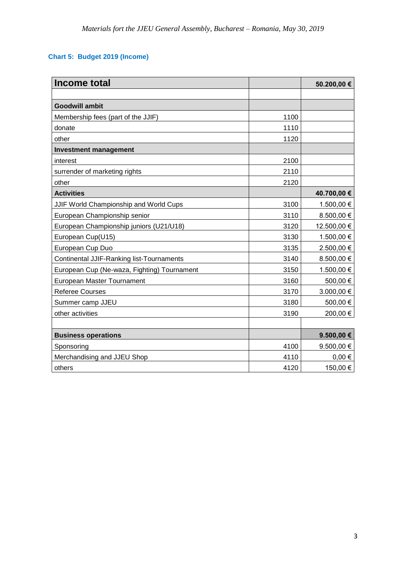### **Chart 5: Budget 2019 (Income)**

| Income total                                     |      | 50.200,00 €    |
|--------------------------------------------------|------|----------------|
|                                                  |      |                |
| <b>Goodwill ambit</b>                            |      |                |
| Membership fees (part of the JJIF)               | 1100 |                |
| donate                                           | 1110 |                |
| other                                            | 1120 |                |
| <b>Investment management</b>                     |      |                |
| interest                                         | 2100 |                |
| surrender of marketing rights                    | 2110 |                |
| other                                            | 2120 |                |
| <b>Activities</b>                                |      | 40.700,00 €    |
| JJIF World Championship and World Cups           | 3100 | 1.500,00 €     |
| European Championship senior                     | 3110 | 8.500,00 €     |
| European Championship juniors (U21/U18)          | 3120 | 12.500,00 €    |
| European Cup(U15)                                | 3130 | 1.500,00 €     |
| European Cup Duo                                 | 3135 | 2.500,00 €     |
| <b>Continental JJIF-Ranking list-Tournaments</b> | 3140 | 8.500,00 €     |
| European Cup (Ne-waza, Fighting) Tournament      | 3150 | 1.500,00 €     |
| European Master Tournament                       | 3160 | 500,00 €       |
| <b>Referee Courses</b>                           | 3170 | 3.000,00 €     |
| Summer camp JJEU                                 | 3180 | 500,00 €       |
| other activities                                 | 3190 | 200,00 €       |
|                                                  |      |                |
| <b>Business operations</b>                       |      | $9.500,00 \in$ |
| Sponsoring                                       | 4100 | 9.500,00 €     |
| Merchandising and JJEU Shop                      | 4110 | $0,00 \in$     |
| others                                           | 4120 | 150,00 €       |